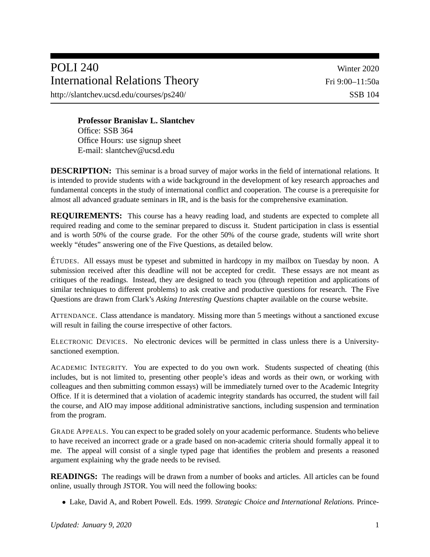## POLI 240 Winter 2020 International Relations Theory Fri 9:00–11:50a

http://slantchev.ucsd.edu/courses/ps240/ SSB 104

**Professor Branislav L. Slantchev** Office: SSB 364 Office Hours: use signup sheet E-mail: slantchev@ucsd.edu

**DESCRIPTION:** This seminar is a broad survey of major works in the field of international relations. It is intended to provide students with a wide background in the development of key research approaches and fundamental concepts in the study of international conflict and cooperation. The course is a prerequisite for almost all advanced graduate seminars in IR, and is the basis for the comprehensive examination.

**REQUIREMENTS:** This course has a heavy reading load, and students are expected to complete all required reading and come to the seminar prepared to discuss it. Student participation in class is essential and is worth 50% of the course grade. For the other 50% of the course grade, students will write short weekly "études" answering one of the Five Questions, as detailed below.

ÉTUDES. All essays must be typeset and submitted in hardcopy in my mailbox on Tuesday by noon. A submission received after this deadline will not be accepted for credit. These essays are not meant as critiques of the readings. Instead, they are designed to teach you (through repetition and applications of similar techniques to different problems) to ask creative and productive questions for research. The Five Questions are drawn from Clark's *Asking Interesting Questions* chapter available on the course website.

ATTENDANCE. Class attendance is mandatory. Missing more than 5 meetings without a sanctioned excuse will result in failing the course irrespective of other factors.

ELECTRONIC DEVICES. No electronic devices will be permitted in class unless there is a Universitysanctioned exemption.

ACADEMIC INTEGRITY. You are expected to do you own work. Students suspected of cheating (this includes, but is not limited to, presenting other people's ideas and words as their own, or working with colleagues and then submitting common essays) will be immediately turned over to the Academic Integrity Office. If it is determined that a violation of academic integrity standards has occurred, the student will fail the course, and AIO may impose additional administrative sanctions, including suspension and termination from the program.

GRADE APPEALS. You can expect to be graded solely on your academic performance. Students who believe to have received an incorrect grade or a grade based on non-academic criteria should formally appeal it to me. The appeal will consist of a single typed page that identifies the problem and presents a reasoned argument explaining why the grade needs to be revised.

**READINGS:** The readings will be drawn from a number of books and articles. All articles can be found online, usually through JSTOR. You will need the following books:

Lake, David A, and Robert Powell. Eds. 1999. *Strategic Choice and International Relations.* Prince-